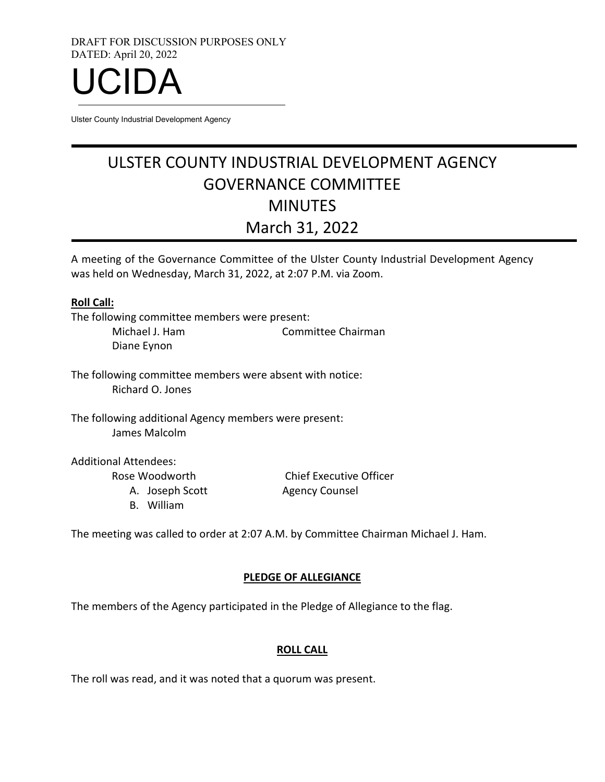DRAFT FOR DISCUSSION PURPOSES ONLY DATED: April 20, 2022



Ulster County Industrial Development Agency

# ULSTER COUNTY INDUSTRIAL DEVELOPMENT AGENCY GOVERNANCE COMMITTEE MINUTES March 31, 2022

A meeting of the Governance Committee of the Ulster County Industrial Development Agency was held on Wednesday, March 31, 2022, at 2:07 P.M. via Zoom.

#### **Roll Call:**

The following committee members were present:

Michael J. Ham Committee Chairman Diane Eynon

The following committee members were absent with notice: Richard O. Jones

The following additional Agency members were present: James Malcolm

Additional Attendees:

Rose Woodworth

A. Joseph Scott

B. William

Chief Executive Officer Agency Counsel

The meeting was called to order at 2:07 A.M. by Committee Chairman Michael J. Ham.

#### **PLEDGE OF ALLEGIANCE**

The members of the Agency participated in the Pledge of Allegiance to the flag.

#### **ROLL CALL**

The roll was read, and it was noted that a quorum was present.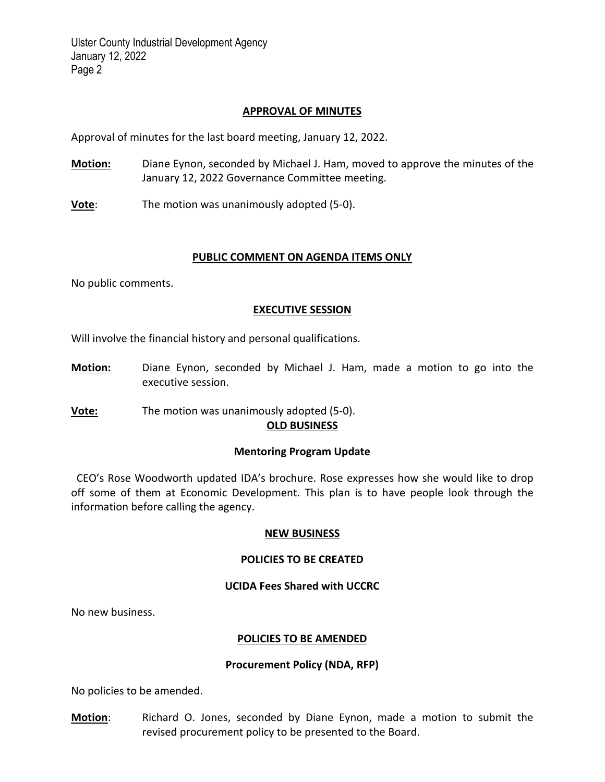#### **APPROVAL OF MINUTES**

Approval of minutes for the last board meeting, January 12, 2022.

**Motion:** Diane Eynon, seconded by Michael J. Ham, moved to approve the minutes of the January 12, 2022 Governance Committee meeting.

**Vote**: The motion was unanimously adopted (5-0).

#### **PUBLIC COMMENT ON AGENDA ITEMS ONLY**

No public comments.

#### **EXECUTIVE SESSION**

Will involve the financial history and personal qualifications.

- **Motion:** Diane Eynon, seconded by Michael J. Ham, made a motion to go into the executive session.
- **Vote:** The motion was unanimously adopted (5-0).

### **OLD BUSINESS**

#### **Mentoring Program Update**

 CEO's Rose Woodworth updated IDA's brochure. Rose expresses how she would like to drop off some of them at Economic Development. This plan is to have people look through the information before calling the agency.

#### **NEW BUSINESS**

#### **POLICIES TO BE CREATED**

#### **UCIDA Fees Shared with UCCRC**

No new business.

#### **POLICIES TO BE AMENDED**

#### **Procurement Policy (NDA, RFP)**

No policies to be amended.

**Motion**: Richard O. Jones, seconded by Diane Eynon, made a motion to submit the revised procurement policy to be presented to the Board.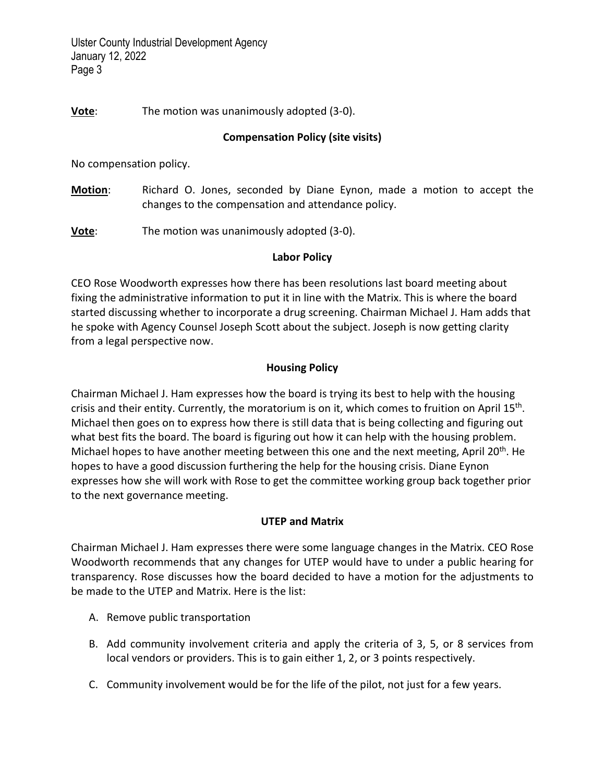Ulster County Industrial Development Agency January 12, 2022 Page 3

## **Vote**: The motion was unanimously adopted (3-0).

### **Compensation Policy (site visits)**

No compensation policy.

**Motion**: Richard O. Jones, seconded by Diane Eynon, made a motion to accept the changes to the compensation and attendance policy.

**Vote**: The motion was unanimously adopted (3-0).

#### **Labor Policy**

CEO Rose Woodworth expresses how there has been resolutions last board meeting about fixing the administrative information to put it in line with the Matrix. This is where the board started discussing whether to incorporate a drug screening. Chairman Michael J. Ham adds that he spoke with Agency Counsel Joseph Scott about the subject. Joseph is now getting clarity from a legal perspective now.

## **Housing Policy**

Chairman Michael J. Ham expresses how the board is trying its best to help with the housing crisis and their entity. Currently, the moratorium is on it, which comes to fruition on April 15<sup>th</sup>. Michael then goes on to express how there is still data that is being collecting and figuring out what best fits the board. The board is figuring out how it can help with the housing problem. Michael hopes to have another meeting between this one and the next meeting, April 20<sup>th</sup>. He hopes to have a good discussion furthering the help for the housing crisis. Diane Eynon expresses how she will work with Rose to get the committee working group back together prior to the next governance meeting.

#### **UTEP and Matrix**

Chairman Michael J. Ham expresses there were some language changes in the Matrix. CEO Rose Woodworth recommends that any changes for UTEP would have to under a public hearing for transparency. Rose discusses how the board decided to have a motion for the adjustments to be made to the UTEP and Matrix. Here is the list:

- A. Remove public transportation
- B. Add community involvement criteria and apply the criteria of 3, 5, or 8 services from local vendors or providers. This is to gain either 1, 2, or 3 points respectively.
- C. Community involvement would be for the life of the pilot, not just for a few years.